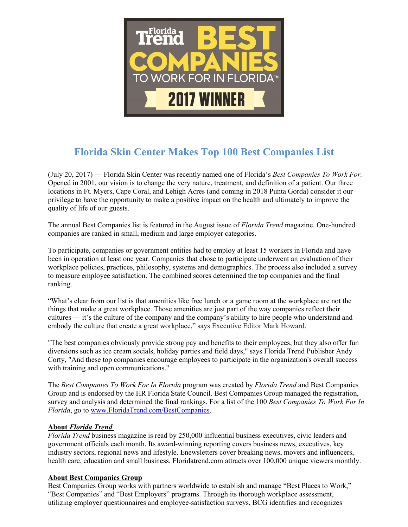

## **Florida Skin Center Makes Top 100 Best Companies List**

(July 20, 2017) — Florida Skin Center was recently named one of Florida's *Best Companies To Work For.* Opened in 2001, our vision is to change the very nature, treatment, and definition of a patient. Our three locations in Ft. Myers, Cape Coral, and Lehigh Acres (and coming in 2018 Punta Gorda) consider it our privilege to have the opportunity to make a positive impact on the health and ultimately to improve the quality of life of our guests.

The annual Best Companies list is featured in the Augustissue of *Florida Trend* magazine. One-hundred companies are ranked in small, medium and large employer categories.

To participate, companies or government entities had to employ at least 15 workers in Florida and have been in operation at least one year. Companies that chose to participate underwent an evaluation of their workplace policies, practices, philosophy, systems and demographics. The process also included a survey to measure employee satisfaction. The combined scores determined the top companies and the final ranking.

"What's clear from our list is that amenities like free lunch or a game room at the workplace are not the things that make a great workplace. Those amenities are just part of the way companies reflect their cultures — it's the culture of the company and the company's ability to hire people who understand and embody the culture that create a great workplace," says Executive Editor Mark Howard.

"The best companies obviously provide strong pay and benefits to their employees, but they also offer fun diversions such as ice cream socials, holiday parties and field days," says Florida Trend Publisher Andy Corty, "And these top companies encourage employees to participate in the organization's overall success with training and open communications."

The *Best Companies To Work For In Florida* program was created by *Florida Trend* and Best Companies Group and is endorsed by the HR Florida State Council. Best Companies Group managed the registration, survey and analysis and determined the final rankings. For a list of the 100 *Best Companies To Work For In Florida*, go to www.FloridaTrend.com/BestCompanies.

## **About** *Florida Trend*

*Florida Trend* business magazine is read by 250,000 influential business executives, civic leaders and government officials each month. Its award-winning reporting covers business news, executives, key industry sectors, regional news and lifestyle. Enewsletters cover breaking news, movers and influencers, health care, education and small business. Floridatrend.com attracts over 100,000 unique viewers monthly.

## **About Best Companies Group**

Best Companies Group works with partners worldwide to establish and manage "Best Places to Work," "Best Companies" and "Best Employers" programs. Through its thorough workplace assessment, utilizing employer questionnaires and employee-satisfaction surveys, BCG identifies and recognizes